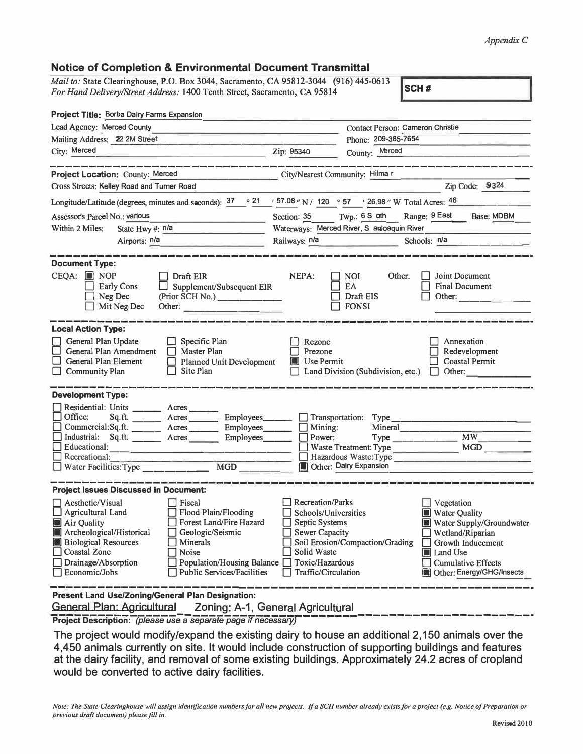## $Appendix C$

## $\triangle$  $9E$

| For Hand Delivery/Street Address: 1400 Tenth Street, Sacramento, CA 95814                                                                                                          | Mail to: State Clearinghouse, P.O. Box 3044, Sacramento, CA 95812-3044 (916) 445-0613                                                                                                         |                                                                                                                                                     |                                                                                                                    | SCH#                                                                                                                                                                          |
|------------------------------------------------------------------------------------------------------------------------------------------------------------------------------------|-----------------------------------------------------------------------------------------------------------------------------------------------------------------------------------------------|-----------------------------------------------------------------------------------------------------------------------------------------------------|--------------------------------------------------------------------------------------------------------------------|-------------------------------------------------------------------------------------------------------------------------------------------------------------------------------|
| <b>Project Title: Borba Dairy Farms Expansion</b>                                                                                                                                  |                                                                                                                                                                                               |                                                                                                                                                     |                                                                                                                    |                                                                                                                                                                               |
| Lead Agency: Merced County                                                                                                                                                         |                                                                                                                                                                                               |                                                                                                                                                     | Contact Person: Cameron Christie                                                                                   |                                                                                                                                                                               |
| Mailing Address: 22 2M Street                                                                                                                                                      |                                                                                                                                                                                               | Phone: 209-385-7654                                                                                                                                 |                                                                                                                    |                                                                                                                                                                               |
| City: Merced                                                                                                                                                                       | <u> 1980 - Jan Barnett, amerikansk politiker (</u>                                                                                                                                            | Zip: 95340                                                                                                                                          | County: Merced                                                                                                     |                                                                                                                                                                               |
| Project Location: County: Merced                                                                                                                                                   | .<br>In the first party and the first three forms and the same way that the same forms are the same                                                                                           | City/Nearest Community: Hilma r                                                                                                                     |                                                                                                                    | نا المستنا المستنا التي يؤدي الأسمار الأسمار الأسمار المسيق المستنا المستنا الأسبان الأسمار الأسمار الأسمار الم                                                               |
| Cross Streets: Kelley Road and Turner Road                                                                                                                                         |                                                                                                                                                                                               |                                                                                                                                                     |                                                                                                                    | Zip Code: 9324                                                                                                                                                                |
| Longitude/Latitude (degrees, minutes and seconds): $\frac{37}{100}$ $\frac{21}{100}$ $\frac{157.08}{100}$ N / 120 $\degree$ 57 $\degree$ / 26.98 " W Total Acres: $\frac{46}{100}$ |                                                                                                                                                                                               |                                                                                                                                                     |                                                                                                                    |                                                                                                                                                                               |
| Assessor's Parcel No.: various<br>the control of the control of the con-                                                                                                           |                                                                                                                                                                                               | <b>Base: MDBM</b><br>Section: 35 Twp.: 6 S oth Range: 9 East                                                                                        |                                                                                                                    |                                                                                                                                                                               |
| Within 2 Miles:<br>State Hwy #: n/a                                                                                                                                                |                                                                                                                                                                                               | Waterways: Merced River, S anloaquin River                                                                                                          |                                                                                                                    |                                                                                                                                                                               |
| Airports: n/a                                                                                                                                                                      | the contract of the contract of the                                                                                                                                                           | Railways: n/a                                                                                                                                       |                                                                                                                    | Schools: n/a                                                                                                                                                                  |
|                                                                                                                                                                                    |                                                                                                                                                                                               |                                                                                                                                                     |                                                                                                                    |                                                                                                                                                                               |
| <b>Document Type:</b><br>CEQA: NOP<br><b>Early Cons</b><br>Neg Dec<br>Mit Neg Dec                                                                                                  | $\Box$ Draft EIR<br>Supplement/Subsequent EIR<br>(Prior SCH No.)                                                                                                                              | NEPA:                                                                                                                                               | <b>NOI</b><br>Other:<br>EA<br>Draft EIS<br>$\Box$ FONSI                                                            | Joint Document<br><b>Final Document</b><br>Other:                                                                                                                             |
| <b>Local Action Type:</b><br>General Plan Update<br>General Plan Amendment<br>General Plan Element<br><b>Community Plan</b>                                                        | $\Box$ Specific Plan<br>$\Box$ Master Plan<br><b>Planned Unit Development</b><br>$\Box$<br>Site Plan<br>$\mathsf{L}$                                                                          | Rezone<br>Prezone<br>$\blacksquare$ Use Permit                                                                                                      | Land Division (Subdivision, etc.)                                                                                  | Annexation<br>Redevelopment<br>Coastal Permit<br>$\Box$ Other:                                                                                                                |
| <b>Development Type:</b>                                                                                                                                                           |                                                                                                                                                                                               |                                                                                                                                                     |                                                                                                                    |                                                                                                                                                                               |
| Residential: Units _________ Acres<br>Office:<br>Educational:<br>Recreational:<br>Water Facilities: Type                                                                           | Sq.ft. _________ Acres ___________ Employees________<br>Commercial:Sq.ft. ________ Acres Employees______<br>Industrial: Sq.ft. ______ Acres ______ Employees______<br>$\overline{\text{MGD}}$ | $\Box$ Mining:<br>$\Box$ Power:                                                                                                                     | $\Box$ Transportation: Type<br>Mineral<br>Waste Treatment: Type<br>Hazardous Waste: Type<br>Other: Dairy Expansion | $Type$ $MW$                                                                                                                                                                   |
| <b>Project Issues Discussed in Document:</b>                                                                                                                                       |                                                                                                                                                                                               |                                                                                                                                                     |                                                                                                                    |                                                                                                                                                                               |
| Aesthetic/Visual<br>Agricultural Land<br>Air Quality<br>Archeological/Historical<br><b>Biological Resources</b><br><b>Coastal Zone</b><br>Drainage/Absorption<br>Economic/Jobs     | Fiscal<br><b>Flood Plain/Flooding</b><br>Forest Land/Fire Hazard<br>Geologic/Seismic<br>Minerals<br>Noise<br><b>Population/Housing Balance</b><br><b>Public Services/Facilities</b>           | <b>Recreation/Parks</b><br>Schools/Universities<br>Septic Systems<br><b>Sewer Capacity</b><br>Solid Waste<br>Toxic/Hazardous<br>Traffic/Circulation | Soil Erosion/Compaction/Grading                                                                                    | Vegetation<br><b>Water Quality</b><br>Water Supply/Groundwater<br>Wetland/Riparian<br>Growth Inducement<br>Land Use<br><b>Cumulative Effects</b><br>Other: Energy/GHG/Insects |

**General Plan: Agricultural** Zoning: A-1, General Agricultural

Project Description: (please use a separate page if necessary)

The project would modify/expand the existing dairy to house an additional 2,150 animals over the 4,450 animals currently on site. It would include construction of supporting buildings and features at the dairy facility, and removal of some existing buildings. Approximately 24.2 acres of cropland would be converted to active dairy facilities.

Note: The State Clearinghouse will assign identification numbers for all new projects. If a SCH number already exists for a project (e.g. Notice of Preparation or previous draft document) please fill in.